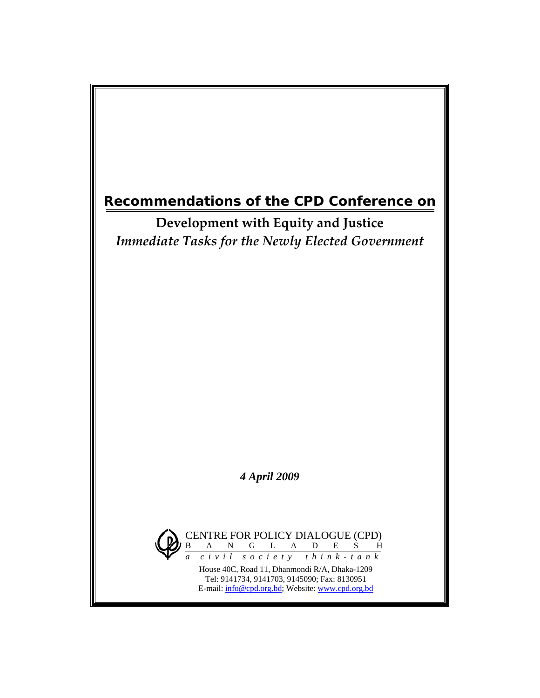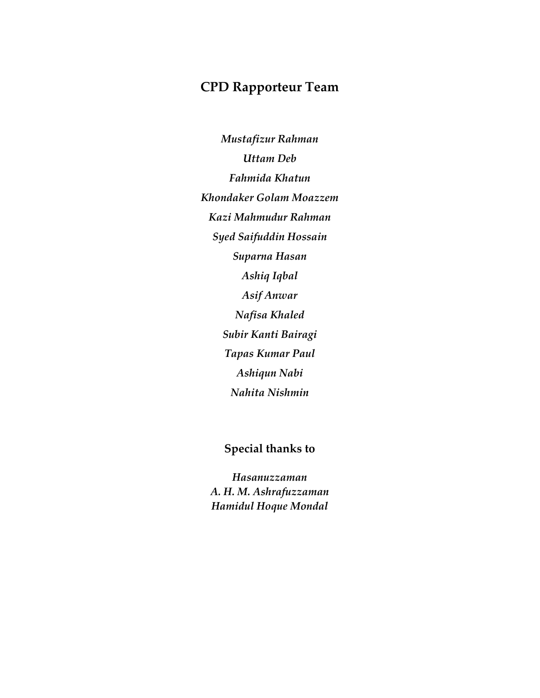# **CPD Rapporteur Team**

*Mustafizur Rahman Uttam Deb Fahmida Khatun Khondaker Golam Moazzem Kazi Mahmudur Rahman Syed Saifuddin Hossain Suparna Hasan Ashiq Iqbal Asif Anwar Nafisa Khaled Subir Kanti Bairagi Tapas Kumar Paul Ashiqun Nabi Nahita Nishmin* 

# **Special thanks to**

*Hasanuzzaman A. H. M. Ashrafuzzaman Hamidul Hoque Mondal*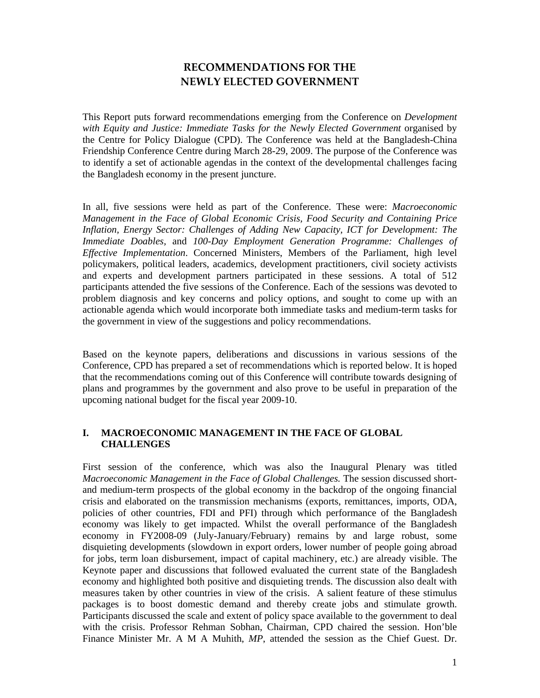# **RECOMMENDATIONS FOR THE NEWLY ELECTED GOVERNMENT**

This Report puts forward recommendations emerging from the Conference on *Development with Equity and Justice: Immediate Tasks for the Newly Elected Government* organised by the Centre for Policy Dialogue (CPD). The Conference was held at the Bangladesh-China Friendship Conference Centre during March 28-29, 2009. The purpose of the Conference was to identify a set of actionable agendas in the context of the developmental challenges facing the Bangladesh economy in the present juncture.

In all, five sessions were held as part of the Conference. These were: *Macroeconomic Management in the Face of Global Economic Crisis, Food Security and Containing Price Inflation, Energy Sector: Challenges of Adding New Capacity, ICT for Development: The Immediate Doables,* and *100-Day Employment Generation Programme: Challenges of Effective Implementation*. Concerned Ministers, Members of the Parliament, high level policymakers, political leaders, academics, development practitioners, civil society activists and experts and development partners participated in these sessions. A total of 512 participants attended the five sessions of the Conference. Each of the sessions was devoted to problem diagnosis and key concerns and policy options, and sought to come up with an actionable agenda which would incorporate both immediate tasks and medium-term tasks for the government in view of the suggestions and policy recommendations.

Based on the keynote papers, deliberations and discussions in various sessions of the Conference, CPD has prepared a set of recommendations which is reported below. It is hoped that the recommendations coming out of this Conference will contribute towards designing of plans and programmes by the government and also prove to be useful in preparation of the upcoming national budget for the fiscal year 2009-10.

# **I. MACROECONOMIC MANAGEMENT IN THE FACE OF GLOBAL CHALLENGES**

First session of the conference, which was also the Inaugural Plenary was titled *Macroeconomic Management in the Face of Global Challenges.* The session discussed shortand medium-term prospects of the global economy in the backdrop of the ongoing financial crisis and elaborated on the transmission mechanisms (exports, remittances, imports, ODA, policies of other countries, FDI and PFI) through which performance of the Bangladesh economy was likely to get impacted. Whilst the overall performance of the Bangladesh economy in FY2008-09 (July-January/February) remains by and large robust, some disquieting developments (slowdown in export orders, lower number of people going abroad for jobs, term loan disbursement, impact of capital machinery, etc.) are already visible. The Keynote paper and discussions that followed evaluated the current state of the Bangladesh economy and highlighted both positive and disquieting trends. The discussion also dealt with measures taken by other countries in view of the crisis. A salient feature of these stimulus packages is to boost domestic demand and thereby create jobs and stimulate growth. Participants discussed the scale and extent of policy space available to the government to deal with the crisis. Professor Rehman Sobhan, Chairman, CPD chaired the session. Hon'ble Finance Minister Mr. A M A Muhith, *MP*, attended the session as the Chief Guest. Dr.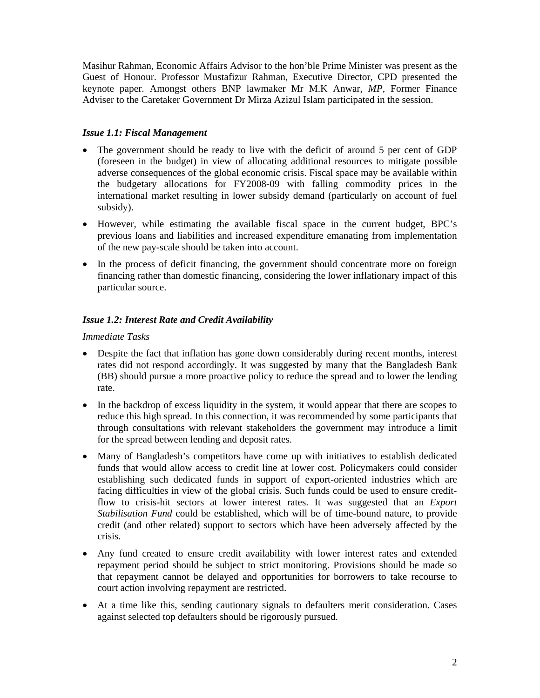Masihur Rahman, Economic Affairs Advisor to the hon'ble Prime Minister was present as the Guest of Honour. Professor Mustafizur Rahman, Executive Director, CPD presented the keynote paper. Amongst others BNP lawmaker Mr M.K Anwar, *MP*, Former Finance Adviser to the Caretaker Government Dr Mirza Azizul Islam participated in the session.

### *Issue 1.1: Fiscal Management*

- The government should be ready to live with the deficit of around 5 per cent of GDP (foreseen in the budget) in view of allocating additional resources to mitigate possible adverse consequences of the global economic crisis. Fiscal space may be available within the budgetary allocations for FY2008-09 with falling commodity prices in the international market resulting in lower subsidy demand (particularly on account of fuel subsidy).
- However, while estimating the available fiscal space in the current budget, BPC's previous loans and liabilities and increased expenditure emanating from implementation of the new pay-scale should be taken into account.
- In the process of deficit financing, the government should concentrate more on foreign financing rather than domestic financing, considering the lower inflationary impact of this particular source.

# *Issue 1.2: Interest Rate and Credit Availability*

- Despite the fact that inflation has gone down considerably during recent months, interest rates did not respond accordingly. It was suggested by many that the Bangladesh Bank (BB) should pursue a more proactive policy to reduce the spread and to lower the lending rate.
- In the backdrop of excess liquidity in the system, it would appear that there are scopes to reduce this high spread. In this connection, it was recommended by some participants that through consultations with relevant stakeholders the government may introduce a limit for the spread between lending and deposit rates.
- Many of Bangladesh's competitors have come up with initiatives to establish dedicated funds that would allow access to credit line at lower cost. Policymakers could consider establishing such dedicated funds in support of export-oriented industries which are facing difficulties in view of the global crisis. Such funds could be used to ensure creditflow to crisis-hit sectors at lower interest rates. It was suggested that an *Export Stabilisation Fund* could be established, which will be of time-bound nature, to provide credit (and other related) support to sectors which have been adversely affected by the crisis*.*
- Any fund created to ensure credit availability with lower interest rates and extended repayment period should be subject to strict monitoring. Provisions should be made so that repayment cannot be delayed and opportunities for borrowers to take recourse to court action involving repayment are restricted.
- At a time like this, sending cautionary signals to defaulters merit consideration. Cases against selected top defaulters should be rigorously pursued.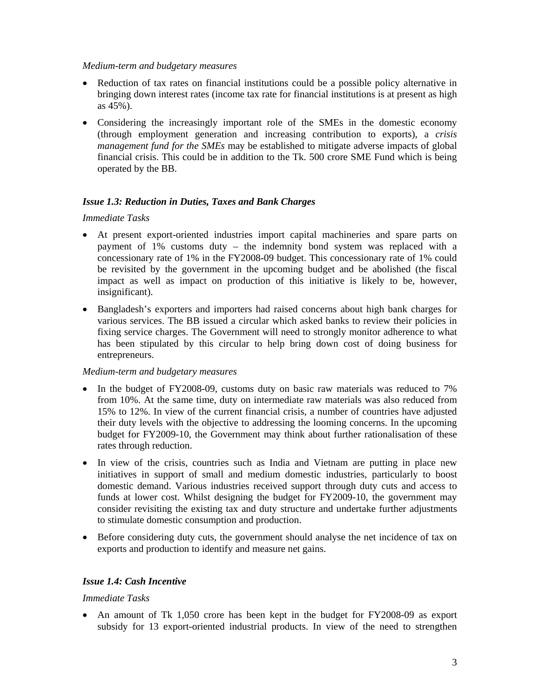#### *Medium-term and budgetary measures*

- Reduction of tax rates on financial institutions could be a possible policy alternative in bringing down interest rates (income tax rate for financial institutions is at present as high as 45%).
- Considering the increasingly important role of the SMEs in the domestic economy (through employment generation and increasing contribution to exports), a *crisis management fund for the SMEs* may be established to mitigate adverse impacts of global financial crisis. This could be in addition to the Tk. 500 crore SME Fund which is being operated by the BB.

# *Issue 1.3: Reduction in Duties, Taxes and Bank Charges*

#### *Immediate Tasks*

- At present export-oriented industries import capital machineries and spare parts on payment of 1% customs duty – the indemnity bond system was replaced with a concessionary rate of 1% in the FY2008-09 budget. This concessionary rate of 1% could be revisited by the government in the upcoming budget and be abolished (the fiscal impact as well as impact on production of this initiative is likely to be, however, insignificant).
- Bangladesh's exporters and importers had raised concerns about high bank charges for various services. The BB issued a circular which asked banks to review their policies in fixing service charges. The Government will need to strongly monitor adherence to what has been stipulated by this circular to help bring down cost of doing business for entrepreneurs.

#### *Medium-term and budgetary measures*

- In the budget of FY2008-09, customs duty on basic raw materials was reduced to 7% from 10%. At the same time, duty on intermediate raw materials was also reduced from 15% to 12%. In view of the current financial crisis, a number of countries have adjusted their duty levels with the objective to addressing the looming concerns. In the upcoming budget for FY2009-10, the Government may think about further rationalisation of these rates through reduction.
- In view of the crisis, countries such as India and Vietnam are putting in place new initiatives in support of small and medium domestic industries, particularly to boost domestic demand. Various industries received support through duty cuts and access to funds at lower cost. Whilst designing the budget for FY2009-10, the government may consider revisiting the existing tax and duty structure and undertake further adjustments to stimulate domestic consumption and production.
- Before considering duty cuts, the government should analyse the net incidence of tax on exports and production to identify and measure net gains.

# *Issue 1.4: Cash Incentive*

#### *Immediate Tasks*

• An amount of Tk 1,050 crore has been kept in the budget for FY2008-09 as export subsidy for 13 export-oriented industrial products. In view of the need to strengthen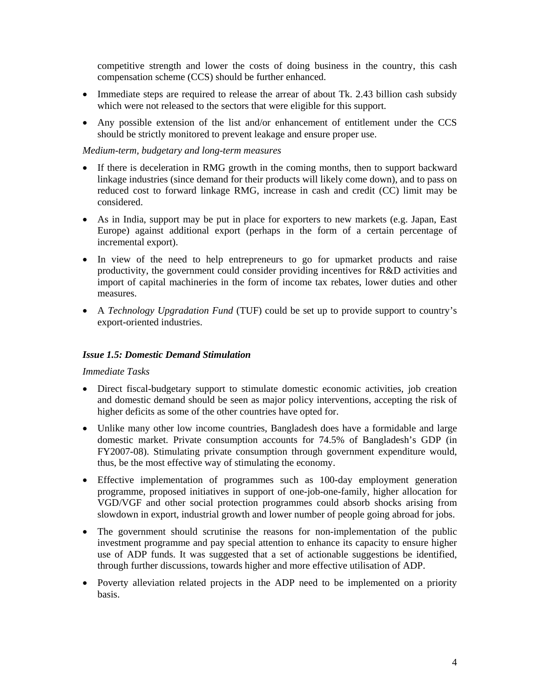competitive strength and lower the costs of doing business in the country, this cash compensation scheme (CCS) should be further enhanced.

- Immediate steps are required to release the arrear of about Tk. 2.43 billion cash subsidy which were not released to the sectors that were eligible for this support.
- Any possible extension of the list and/or enhancement of entitlement under the CCS should be strictly monitored to prevent leakage and ensure proper use.

#### *Medium-term, budgetary and long-term measures*

- If there is deceleration in RMG growth in the coming months, then to support backward linkage industries (since demand for their products will likely come down), and to pass on reduced cost to forward linkage RMG, increase in cash and credit (CC) limit may be considered.
- As in India, support may be put in place for exporters to new markets (e.g. Japan, East Europe) against additional export (perhaps in the form of a certain percentage of incremental export).
- In view of the need to help entrepreneurs to go for upmarket products and raise productivity, the government could consider providing incentives for R&D activities and import of capital machineries in the form of income tax rebates, lower duties and other measures.
- A *Technology Upgradation Fund* (TUF) could be set up to provide support to country's export-oriented industries.

#### *Issue 1.5: Domestic Demand Stimulation*

- Direct fiscal-budgetary support to stimulate domestic economic activities, job creation and domestic demand should be seen as major policy interventions, accepting the risk of higher deficits as some of the other countries have opted for.
- Unlike many other low income countries, Bangladesh does have a formidable and large domestic market. Private consumption accounts for 74.5% of Bangladesh's GDP (in FY2007-08). Stimulating private consumption through government expenditure would, thus, be the most effective way of stimulating the economy.
- Effective implementation of programmes such as 100-day employment generation programme, proposed initiatives in support of one-job-one-family, higher allocation for VGD/VGF and other social protection programmes could absorb shocks arising from slowdown in export, industrial growth and lower number of people going abroad for jobs.
- The government should scrutinise the reasons for non-implementation of the public investment programme and pay special attention to enhance its capacity to ensure higher use of ADP funds. It was suggested that a set of actionable suggestions be identified, through further discussions, towards higher and more effective utilisation of ADP.
- Poverty alleviation related projects in the ADP need to be implemented on a priority basis.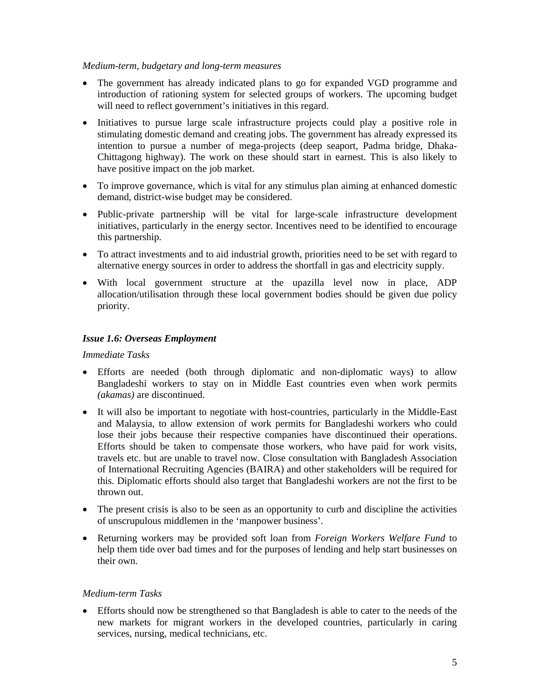#### *Medium-term, budgetary and long-term measures*

- The government has already indicated plans to go for expanded VGD programme and introduction of rationing system for selected groups of workers. The upcoming budget will need to reflect government's initiatives in this regard.
- Initiatives to pursue large scale infrastructure projects could play a positive role in stimulating domestic demand and creating jobs. The government has already expressed its intention to pursue a number of mega-projects (deep seaport, Padma bridge, Dhaka-Chittagong highway). The work on these should start in earnest. This is also likely to have positive impact on the job market.
- To improve governance, which is vital for any stimulus plan aiming at enhanced domestic demand, district-wise budget may be considered.
- Public-private partnership will be vital for large-scale infrastructure development initiatives, particularly in the energy sector. Incentives need to be identified to encourage this partnership.
- To attract investments and to aid industrial growth, priorities need to be set with regard to alternative energy sources in order to address the shortfall in gas and electricity supply.
- With local government structure at the upazilla level now in place, ADP allocation/utilisation through these local government bodies should be given due policy priority.

#### *Issue 1.6: Overseas Employment*

#### *Immediate Tasks*

- Efforts are needed (both through diplomatic and non-diplomatic ways) to allow Bangladeshi workers to stay on in Middle East countries even when work permits *(akamas)* are discontinued.
- It will also be important to negotiate with host-countries, particularly in the Middle-East and Malaysia, to allow extension of work permits for Bangladeshi workers who could lose their jobs because their respective companies have discontinued their operations. Efforts should be taken to compensate those workers, who have paid for work visits, travels etc. but are unable to travel now. Close consultation with Bangladesh Association of International Recruiting Agencies (BAIRA) and other stakeholders will be required for this. Diplomatic efforts should also target that Bangladeshi workers are not the first to be thrown out.
- The present crisis is also to be seen as an opportunity to curb and discipline the activities of unscrupulous middlemen in the 'manpower business'.
- Returning workers may be provided soft loan from *Foreign Workers Welfare Fund* to help them tide over bad times and for the purposes of lending and help start businesses on their own.

#### *Medium-term Tasks*

• Efforts should now be strengthened so that Bangladesh is able to cater to the needs of the new markets for migrant workers in the developed countries, particularly in caring services, nursing, medical technicians, etc.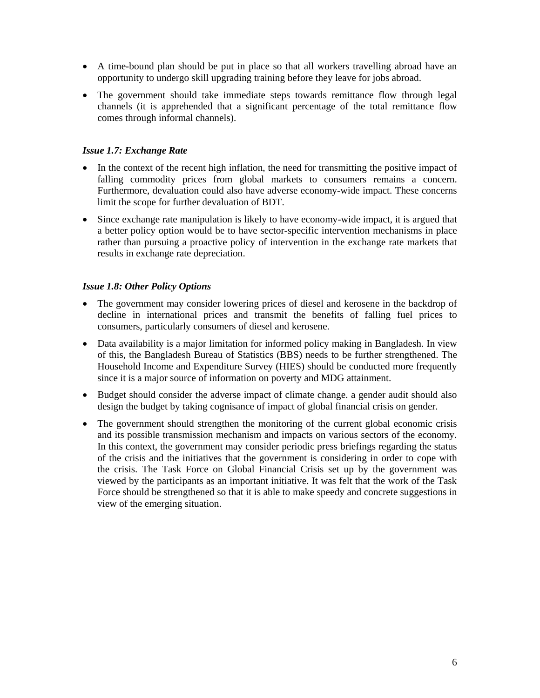- A time-bound plan should be put in place so that all workers travelling abroad have an opportunity to undergo skill upgrading training before they leave for jobs abroad.
- The government should take immediate steps towards remittance flow through legal channels (it is apprehended that a significant percentage of the total remittance flow comes through informal channels).

### *Issue 1.7: Exchange Rate*

- In the context of the recent high inflation, the need for transmitting the positive impact of falling commodity prices from global markets to consumers remains a concern. Furthermore, devaluation could also have adverse economy-wide impact. These concerns limit the scope for further devaluation of BDT.
- Since exchange rate manipulation is likely to have economy-wide impact, it is argued that a better policy option would be to have sector-specific intervention mechanisms in place rather than pursuing a proactive policy of intervention in the exchange rate markets that results in exchange rate depreciation.

### *Issue 1.8: Other Policy Options*

- The government may consider lowering prices of diesel and kerosene in the backdrop of decline in international prices and transmit the benefits of falling fuel prices to consumers, particularly consumers of diesel and kerosene.
- Data availability is a major limitation for informed policy making in Bangladesh. In view of this, the Bangladesh Bureau of Statistics (BBS) needs to be further strengthened. The Household Income and Expenditure Survey (HIES) should be conducted more frequently since it is a major source of information on poverty and MDG attainment.
- Budget should consider the adverse impact of climate change. a gender audit should also design the budget by taking cognisance of impact of global financial crisis on gender.
- The government should strengthen the monitoring of the current global economic crisis and its possible transmission mechanism and impacts on various sectors of the economy. In this context, the government may consider periodic press briefings regarding the status of the crisis and the initiatives that the government is considering in order to cope with the crisis. The Task Force on Global Financial Crisis set up by the government was viewed by the participants as an important initiative. It was felt that the work of the Task Force should be strengthened so that it is able to make speedy and concrete suggestions in view of the emerging situation.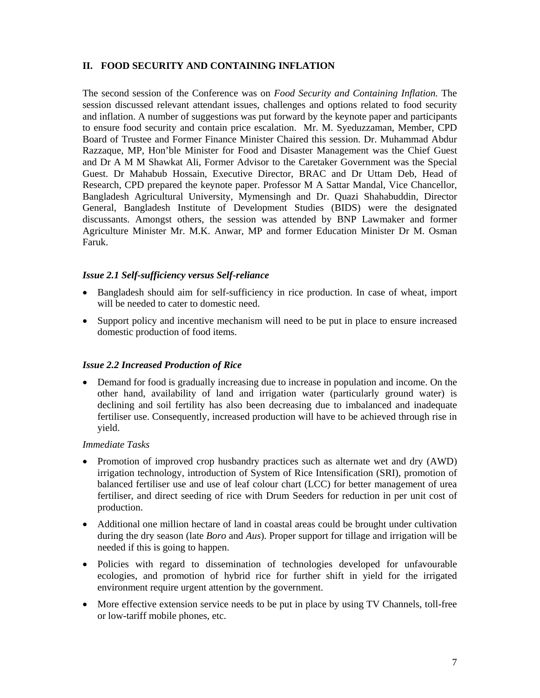# **II. FOOD SECURITY AND CONTAINING INFLATION**

The second session of the Conference was on *Food Security and Containing Inflation.* The session discussed relevant attendant issues, challenges and options related to food security and inflation. A number of suggestions was put forward by the keynote paper and participants to ensure food security and contain price escalation. Mr. M. Syeduzzaman, Member, CPD Board of Trustee and Former Finance Minister Chaired this session. Dr. Muhammad Abdur Razzaque, MP, Hon'ble Minister for Food and Disaster Management was the Chief Guest and Dr A M M Shawkat Ali, Former Advisor to the Caretaker Government was the Special Guest. Dr Mahabub Hossain, Executive Director, BRAC and Dr Uttam Deb, Head of Research, CPD prepared the keynote paper. Professor M A Sattar Mandal, Vice Chancellor, Bangladesh Agricultural University, Mymensingh and Dr. Quazi Shahabuddin, Director General, Bangladesh Institute of Development Studies (BIDS) were the designated discussants. Amongst others, the session was attended by BNP Lawmaker and former Agriculture Minister Mr. M.K. Anwar, MP and former Education Minister Dr M. Osman Faruk.

### *Issue 2.1 Self-sufficiency versus Self-reliance*

- Bangladesh should aim for self-sufficiency in rice production. In case of wheat, import will be needed to cater to domestic need.
- Support policy and incentive mechanism will need to be put in place to ensure increased domestic production of food items.

# *Issue 2.2 Increased Production of Rice*

• Demand for food is gradually increasing due to increase in population and income. On the other hand, availability of land and irrigation water (particularly ground water) is declining and soil fertility has also been decreasing due to imbalanced and inadequate fertiliser use. Consequently, increased production will have to be achieved through rise in yield.

- Promotion of improved crop husbandry practices such as alternate wet and dry (AWD) irrigation technology, introduction of System of Rice Intensification (SRI), promotion of balanced fertiliser use and use of leaf colour chart (LCC) for better management of urea fertiliser, and direct seeding of rice with Drum Seeders for reduction in per unit cost of production.
- Additional one million hectare of land in coastal areas could be brought under cultivation during the dry season (late *Boro* and *Aus*). Proper support for tillage and irrigation will be needed if this is going to happen.
- Policies with regard to dissemination of technologies developed for unfavourable ecologies, and promotion of hybrid rice for further shift in yield for the irrigated environment require urgent attention by the government.
- More effective extension service needs to be put in place by using TV Channels, toll-free or low-tariff mobile phones, etc.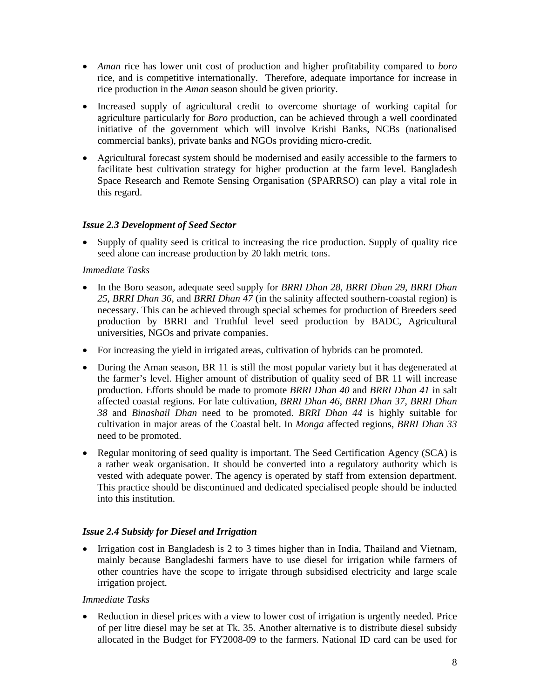- *Aman* rice has lower unit cost of production and higher profitability compared to *boro* rice, and is competitive internationally. Therefore, adequate importance for increase in rice production in the *Aman* season should be given priority.
- Increased supply of agricultural credit to overcome shortage of working capital for agriculture particularly for *Boro* production, can be achieved through a well coordinated initiative of the government which will involve Krishi Banks, NCBs (nationalised commercial banks), private banks and NGOs providing micro-credit.
- Agricultural forecast system should be modernised and easily accessible to the farmers to facilitate best cultivation strategy for higher production at the farm level. Bangladesh Space Research and Remote Sensing Organisation (SPARRSO) can play a vital role in this regard.

### *Issue 2.3 Development of Seed Sector*

• Supply of quality seed is critical to increasing the rice production. Supply of quality rice seed alone can increase production by 20 lakh metric tons.

### *Immediate Tasks*

- In the Boro season, adequate seed supply for *BRRI Dhan 28*, *BRRI Dhan 29*, *BRRI Dhan 25*, *BRRI Dhan 36*, and *BRRI Dhan 47* (in the salinity affected southern-coastal region) is necessary. This can be achieved through special schemes for production of Breeders seed production by BRRI and Truthful level seed production by BADC, Agricultural universities, NGOs and private companies.
- For increasing the yield in irrigated areas, cultivation of hybrids can be promoted.
- During the Aman season, BR 11 is still the most popular variety but it has degenerated at the farmer's level. Higher amount of distribution of quality seed of BR 11 will increase production. Efforts should be made to promote *BRRI Dhan 40* and *BRRI Dhan 41* in salt affected coastal regions. For late cultivation, *BRRI Dhan 46*, *BRRI Dhan 37*, *BRRI Dhan 38* and *Binashail Dhan* need to be promoted. *BRRI Dhan 44* is highly suitable for cultivation in major areas of the Coastal belt. In *Monga* affected regions, *BRRI Dhan 33* need to be promoted.
- Regular monitoring of seed quality is important. The Seed Certification Agency (SCA) is a rather weak organisation. It should be converted into a regulatory authority which is vested with adequate power. The agency is operated by staff from extension department. This practice should be discontinued and dedicated specialised people should be inducted into this institution.

# *Issue 2.4 Subsidy for Diesel and Irrigation*

• Irrigation cost in Bangladesh is 2 to 3 times higher than in India, Thailand and Vietnam, mainly because Bangladeshi farmers have to use diesel for irrigation while farmers of other countries have the scope to irrigate through subsidised electricity and large scale irrigation project.

#### *Immediate Tasks*

• Reduction in diesel prices with a view to lower cost of irrigation is urgently needed. Price of per litre diesel may be set at Tk. 35. Another alternative is to distribute diesel subsidy allocated in the Budget for FY2008-09 to the farmers. National ID card can be used for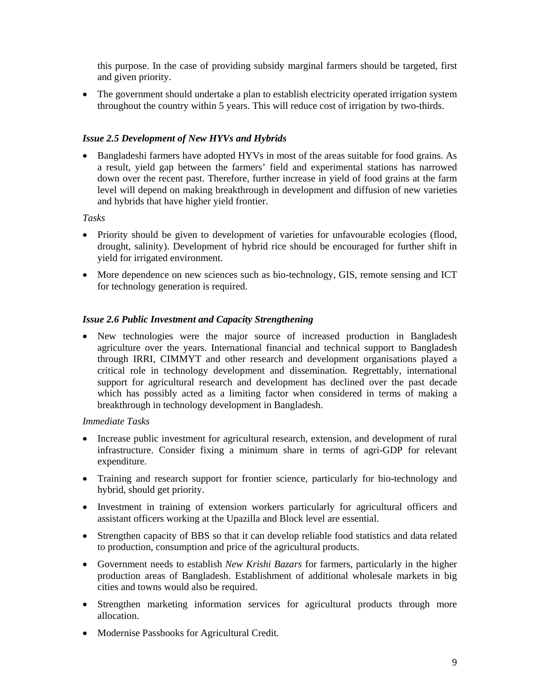this purpose. In the case of providing subsidy marginal farmers should be targeted, first and given priority.

• The government should undertake a plan to establish electricity operated irrigation system throughout the country within 5 years. This will reduce cost of irrigation by two-thirds.

# *Issue 2.5 Development of New HYVs and Hybrids*

• Bangladeshi farmers have adopted HYVs in most of the areas suitable for food grains. As a result, yield gap between the farmers' field and experimental stations has narrowed down over the recent past. Therefore, further increase in yield of food grains at the farm level will depend on making breakthrough in development and diffusion of new varieties and hybrids that have higher yield frontier.

*Tasks* 

- Priority should be given to development of varieties for unfavourable ecologies (flood, drought, salinity). Development of hybrid rice should be encouraged for further shift in yield for irrigated environment.
- More dependence on new sciences such as bio-technology, GIS, remote sensing and ICT for technology generation is required.

# *Issue 2.6 Public Investment and Capacity Strengthening*

• New technologies were the major source of increased production in Bangladesh agriculture over the years. International financial and technical support to Bangladesh through IRRI, CIMMYT and other research and development organisations played a critical role in technology development and dissemination. Regrettably, international support for agricultural research and development has declined over the past decade which has possibly acted as a limiting factor when considered in terms of making a breakthrough in technology development in Bangladesh.

- Increase public investment for agricultural research, extension, and development of rural infrastructure. Consider fixing a minimum share in terms of agri-GDP for relevant expenditure.
- Training and research support for frontier science, particularly for bio-technology and hybrid, should get priority.
- Investment in training of extension workers particularly for agricultural officers and assistant officers working at the Upazilla and Block level are essential.
- Strengthen capacity of BBS so that it can develop reliable food statistics and data related to production, consumption and price of the agricultural products.
- Government needs to establish *New Krishi Bazars* for farmers, particularly in the higher production areas of Bangladesh. Establishment of additional wholesale markets in big cities and towns would also be required.
- Strengthen marketing information services for agricultural products through more allocation.
- Modernise Passbooks for Agricultural Credit.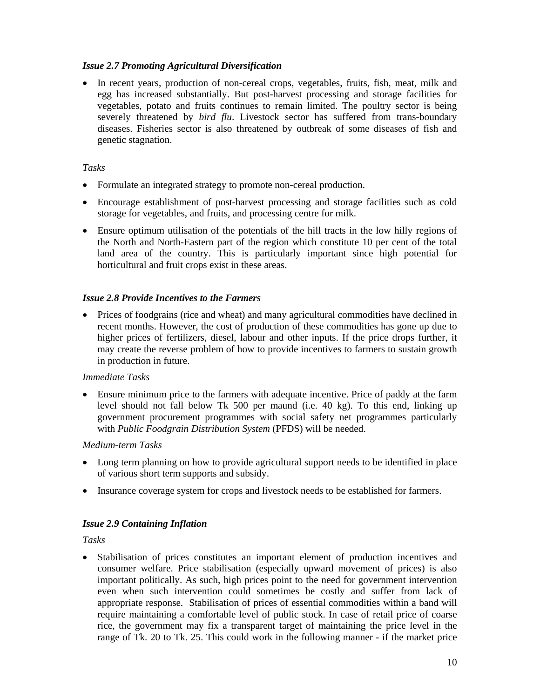### *Issue 2.7 Promoting Agricultural Diversification*

• In recent years, production of non-cereal crops, vegetables, fruits, fish, meat, milk and egg has increased substantially. But post-harvest processing and storage facilities for vegetables, potato and fruits continues to remain limited. The poultry sector is being severely threatened by *bird flu*. Livestock sector has suffered from trans-boundary diseases. Fisheries sector is also threatened by outbreak of some diseases of fish and genetic stagnation.

### *Tasks*

- Formulate an integrated strategy to promote non-cereal production.
- Encourage establishment of post-harvest processing and storage facilities such as cold storage for vegetables, and fruits, and processing centre for milk.
- Ensure optimum utilisation of the potentials of the hill tracts in the low hilly regions of the North and North-Eastern part of the region which constitute 10 per cent of the total land area of the country. This is particularly important since high potential for horticultural and fruit crops exist in these areas.

### *Issue 2.8 Provide Incentives to the Farmers*

• Prices of foodgrains (rice and wheat) and many agricultural commodities have declined in recent months. However, the cost of production of these commodities has gone up due to higher prices of fertilizers, diesel, labour and other inputs. If the price drops further, it may create the reverse problem of how to provide incentives to farmers to sustain growth in production in future.

#### *Immediate Tasks*

• Ensure minimum price to the farmers with adequate incentive. Price of paddy at the farm level should not fall below Tk 500 per maund (i.e. 40 kg). To this end, linking up government procurement programmes with social safety net programmes particularly with *Public Foodgrain Distribution System* (PFDS) will be needed.

#### *Medium-term Tasks*

- Long term planning on how to provide agricultural support needs to be identified in place of various short term supports and subsidy.
- Insurance coverage system for crops and livestock needs to be established for farmers.

# *Issue 2.9 Containing Inflation*

*Tasks* 

• Stabilisation of prices constitutes an important element of production incentives and consumer welfare. Price stabilisation (especially upward movement of prices) is also important politically. As such, high prices point to the need for government intervention even when such intervention could sometimes be costly and suffer from lack of appropriate response. Stabilisation of prices of essential commodities within a band will require maintaining a comfortable level of public stock. In case of retail price of coarse rice, the government may fix a transparent target of maintaining the price level in the range of Tk. 20 to Tk. 25. This could work in the following manner - if the market price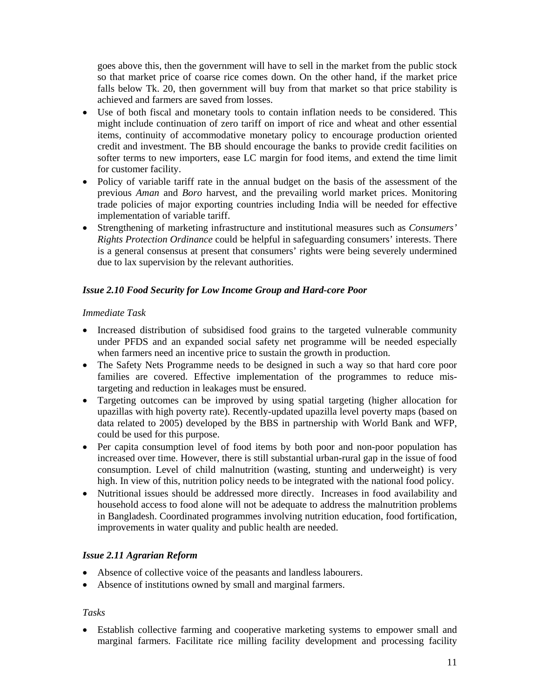goes above this, then the government will have to sell in the market from the public stock so that market price of coarse rice comes down. On the other hand, if the market price falls below Tk. 20, then government will buy from that market so that price stability is achieved and farmers are saved from losses.

- Use of both fiscal and monetary tools to contain inflation needs to be considered. This might include continuation of zero tariff on import of rice and wheat and other essential items, continuity of accommodative monetary policy to encourage production oriented credit and investment. The BB should encourage the banks to provide credit facilities on softer terms to new importers, ease LC margin for food items, and extend the time limit for customer facility.
- Policy of variable tariff rate in the annual budget on the basis of the assessment of the previous *Aman* and *Boro* harvest, and the prevailing world market prices. Monitoring trade policies of major exporting countries including India will be needed for effective implementation of variable tariff.
- Strengthening of marketing infrastructure and institutional measures such as *Consumers' Rights Protection Ordinance* could be helpful in safeguarding consumers' interests. There is a general consensus at present that consumers' rights were being severely undermined due to lax supervision by the relevant authorities.

# *Issue 2.10 Food Security for Low Income Group and Hard-core Poor*

# *Immediate Task*

- Increased distribution of subsidised food grains to the targeted vulnerable community under PFDS and an expanded social safety net programme will be needed especially when farmers need an incentive price to sustain the growth in production.
- The Safety Nets Programme needs to be designed in such a way so that hard core poor families are covered. Effective implementation of the programmes to reduce mistargeting and reduction in leakages must be ensured.
- Targeting outcomes can be improved by using spatial targeting (higher allocation for upazillas with high poverty rate). Recently-updated upazilla level poverty maps (based on data related to 2005) developed by the BBS in partnership with World Bank and WFP, could be used for this purpose.
- Per capita consumption level of food items by both poor and non-poor population has increased over time. However, there is still substantial urban-rural gap in the issue of food consumption. Level of child malnutrition (wasting, stunting and underweight) is very high. In view of this, nutrition policy needs to be integrated with the national food policy.
- Nutritional issues should be addressed more directly. Increases in food availability and household access to food alone will not be adequate to address the malnutrition problems in Bangladesh. Coordinated programmes involving nutrition education, food fortification, improvements in water quality and public health are needed.

# *Issue 2.11 Agrarian Reform*

- Absence of collective voice of the peasants and landless labourers.
- Absence of institutions owned by small and marginal farmers.

# *Tasks*

• Establish collective farming and cooperative marketing systems to empower small and marginal farmers. Facilitate rice milling facility development and processing facility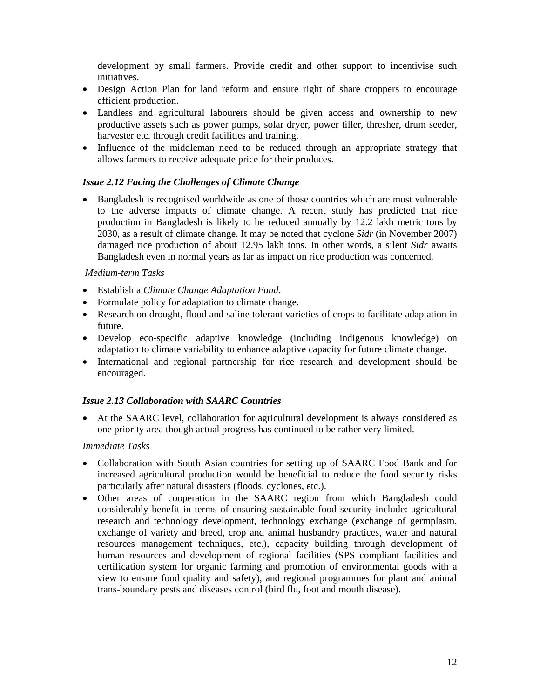development by small farmers. Provide credit and other support to incentivise such initiatives.

- Design Action Plan for land reform and ensure right of share croppers to encourage efficient production.
- Landless and agricultural labourers should be given access and ownership to new productive assets such as power pumps, solar dryer, power tiller, thresher, drum seeder, harvester etc. through credit facilities and training.
- Influence of the middleman need to be reduced through an appropriate strategy that allows farmers to receive adequate price for their produces.

# *Issue 2.12 Facing the Challenges of Climate Change*

• Bangladesh is recognised worldwide as one of those countries which are most vulnerable to the adverse impacts of climate change. A recent study has predicted that rice production in Bangladesh is likely to be reduced annually by 12.2 lakh metric tons by 2030, as a result of climate change. It may be noted that cyclone *Sidr* (in November 2007) damaged rice production of about 12.95 lakh tons. In other words, a silent *Sidr* awaits Bangladesh even in normal years as far as impact on rice production was concerned.

#### *Medium-term Tasks*

- Establish a *Climate Change Adaptation Fund*.
- Formulate policy for adaptation to climate change.
- Research on drought, flood and saline tolerant varieties of crops to facilitate adaptation in future.
- Develop eco-specific adaptive knowledge (including indigenous knowledge) on adaptation to climate variability to enhance adaptive capacity for future climate change.
- International and regional partnership for rice research and development should be encouraged.

#### *Issue 2.13 Collaboration with SAARC Countries*

• At the SAARC level, collaboration for agricultural development is always considered as one priority area though actual progress has continued to be rather very limited.

- Collaboration with South Asian countries for setting up of SAARC Food Bank and for increased agricultural production would be beneficial to reduce the food security risks particularly after natural disasters (floods, cyclones, etc.).
- Other areas of cooperation in the SAARC region from which Bangladesh could considerably benefit in terms of ensuring sustainable food security include: agricultural research and technology development, technology exchange (exchange of germplasm. exchange of variety and breed, crop and animal husbandry practices, water and natural resources management techniques, etc.), capacity building through development of human resources and development of regional facilities (SPS compliant facilities and certification system for organic farming and promotion of environmental goods with a view to ensure food quality and safety), and regional programmes for plant and animal trans-boundary pests and diseases control (bird flu, foot and mouth disease).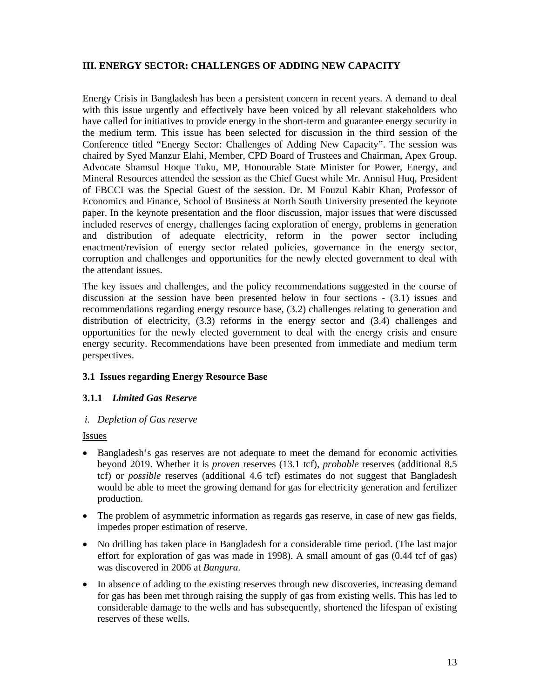# **III. ENERGY SECTOR: CHALLENGES OF ADDING NEW CAPACITY**

Energy Crisis in Bangladesh has been a persistent concern in recent years. A demand to deal with this issue urgently and effectively have been voiced by all relevant stakeholders who have called for initiatives to provide energy in the short-term and guarantee energy security in the medium term. This issue has been selected for discussion in the third session of the Conference titled "Energy Sector: Challenges of Adding New Capacity". The session was chaired by Syed Manzur Elahi, Member, CPD Board of Trustees and Chairman, Apex Group. Advocate Shamsul Hoque Tuku, MP, Honourable State Minister for Power, Energy, and Mineral Resources attended the session as the Chief Guest while Mr. Annisul Huq, President of FBCCI was the Special Guest of the session. Dr. M Fouzul Kabir Khan, Professor of Economics and Finance, School of Business at North South University presented the keynote paper. In the keynote presentation and the floor discussion, major issues that were discussed included reserves of energy, challenges facing exploration of energy, problems in generation and distribution of adequate electricity, reform in the power sector including enactment/revision of energy sector related policies, governance in the energy sector, corruption and challenges and opportunities for the newly elected government to deal with the attendant issues.

The key issues and challenges, and the policy recommendations suggested in the course of discussion at the session have been presented below in four sections - (3.1) issues and recommendations regarding energy resource base, (3.2) challenges relating to generation and distribution of electricity, (3.3) reforms in the energy sector and (3.4) challenges and opportunities for the newly elected government to deal with the energy crisis and ensure energy security. Recommendations have been presented from immediate and medium term perspectives.

# **3.1 Issues regarding Energy Resource Base**

# **3.1.1** *Limited Gas Reserve*

#### *i. Depletion of Gas reserve*

#### Issues

- Bangladesh's gas reserves are not adequate to meet the demand for economic activities beyond 2019. Whether it is *proven* reserves (13.1 tcf), *probable* reserves (additional 8.5 tcf) or *possible* reserves (additional 4.6 tcf) estimates do not suggest that Bangladesh would be able to meet the growing demand for gas for electricity generation and fertilizer production.
- The problem of asymmetric information as regards gas reserve, in case of new gas fields, impedes proper estimation of reserve.
- No drilling has taken place in Bangladesh for a considerable time period. (The last major effort for exploration of gas was made in 1998). A small amount of gas (0.44 tcf of gas) was discovered in 2006 at *Bangura*.
- In absence of adding to the existing reserves through new discoveries, increasing demand for gas has been met through raising the supply of gas from existing wells. This has led to considerable damage to the wells and has subsequently, shortened the lifespan of existing reserves of these wells.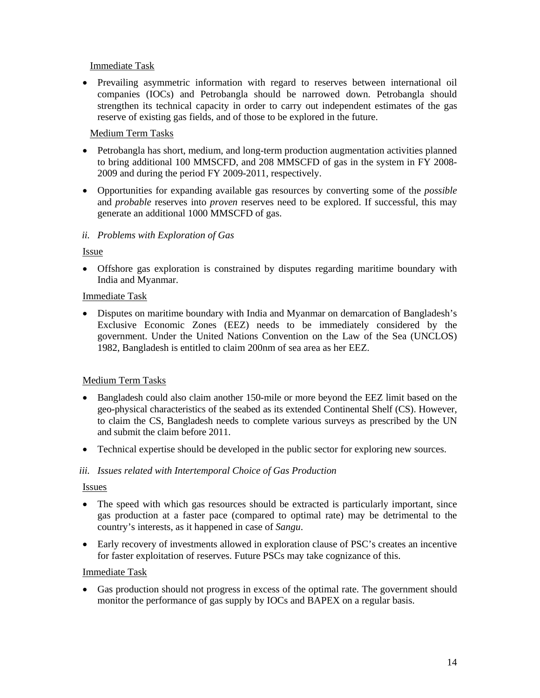# Immediate Task

• Prevailing asymmetric information with regard to reserves between international oil companies (IOCs) and Petrobangla should be narrowed down. Petrobangla should strengthen its technical capacity in order to carry out independent estimates of the gas reserve of existing gas fields, and of those to be explored in the future.

# Medium Term Tasks

- Petrobangla has short, medium, and long-term production augmentation activities planned to bring additional 100 MMSCFD, and 208 MMSCFD of gas in the system in FY 2008- 2009 and during the period FY 2009-2011, respectively.
- Opportunities for expanding available gas resources by converting some of the *possible* and *probable* reserves into *proven* reserves need to be explored. If successful, this may generate an additional 1000 MMSCFD of gas.

### *ii. Problems with Exploration of Gas*

### Issue

• Offshore gas exploration is constrained by disputes regarding maritime boundary with India and Myanmar.

### Immediate Task

• Disputes on maritime boundary with India and Myanmar on demarcation of Bangladesh's Exclusive Economic Zones (EEZ) needs to be immediately considered by the government. Under the United Nations Convention on the Law of the Sea (UNCLOS) 1982, Bangladesh is entitled to claim 200nm of sea area as her EEZ.

# Medium Term Tasks

- Bangladesh could also claim another 150-mile or more beyond the EEZ limit based on the geo-physical characteristics of the seabed as its extended Continental Shelf (CS). However, to claim the CS, Bangladesh needs to complete various surveys as prescribed by the UN and submit the claim before 2011.
- Technical expertise should be developed in the public sector for exploring new sources.

#### *iii. Issues related with Intertemporal Choice of Gas Production*

#### Issues

- The speed with which gas resources should be extracted is particularly important, since gas production at a faster pace (compared to optimal rate) may be detrimental to the country's interests, as it happened in case of *Sangu*.
- Early recovery of investments allowed in exploration clause of PSC's creates an incentive for faster exploitation of reserves. Future PSCs may take cognizance of this.

#### Immediate Task

• Gas production should not progress in excess of the optimal rate. The government should monitor the performance of gas supply by IOCs and BAPEX on a regular basis.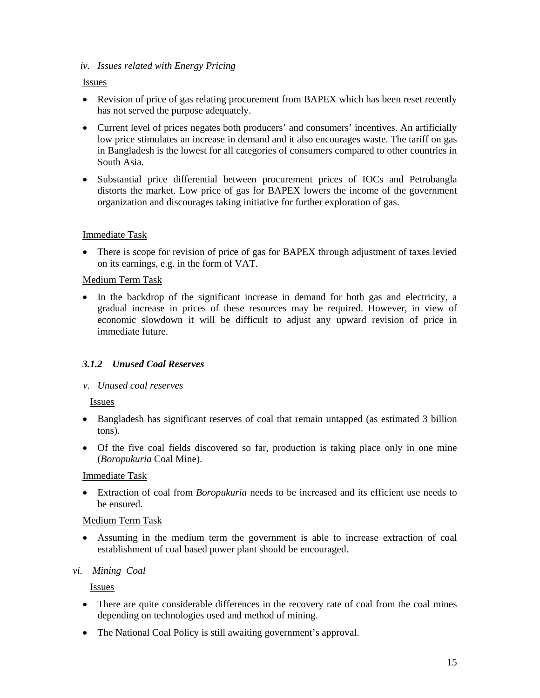### *iv. Issues related with Energy Pricing*

### Issues

- Revision of price of gas relating procurement from BAPEX which has been reset recently has not served the purpose adequately.
- Current level of prices negates both producers' and consumers' incentives. An artificially low price stimulates an increase in demand and it also encourages waste. The tariff on gas in Bangladesh is the lowest for all categories of consumers compared to other countries in South Asia.
- Substantial price differential between procurement prices of IOCs and Petrobangla distorts the market. Low price of gas for BAPEX lowers the income of the government organization and discourages taking initiative for further exploration of gas.

# Immediate Task

• There is scope for revision of price of gas for BAPEX through adjustment of taxes levied on its earnings, e.g. in the form of VAT.

### Medium Term Task

• In the backdrop of the significant increase in demand for both gas and electricity, a gradual increase in prices of these resources may be required. However, in view of economic slowdown it will be difficult to adjust any upward revision of price in immediate future.

# *3.1.2 Unused Coal Reserves*

#### *v. Unused coal reserves*

Issues

- Bangladesh has significant reserves of coal that remain untapped (as estimated 3 billion tons).
- Of the five coal fields discovered so far, production is taking place only in one mine (*Boropukuria* Coal Mine).

#### Immediate Task

• Extraction of coal from *Boropukuria* needs to be increased and its efficient use needs to be ensured.

#### Medium Term Task

• Assuming in the medium term the government is able to increase extraction of coal establishment of coal based power plant should be encouraged.

#### *vi. Mining Coal*

Issues

- There are quite considerable differences in the recovery rate of coal from the coal mines depending on technologies used and method of mining.
- The National Coal Policy is still awaiting government's approval.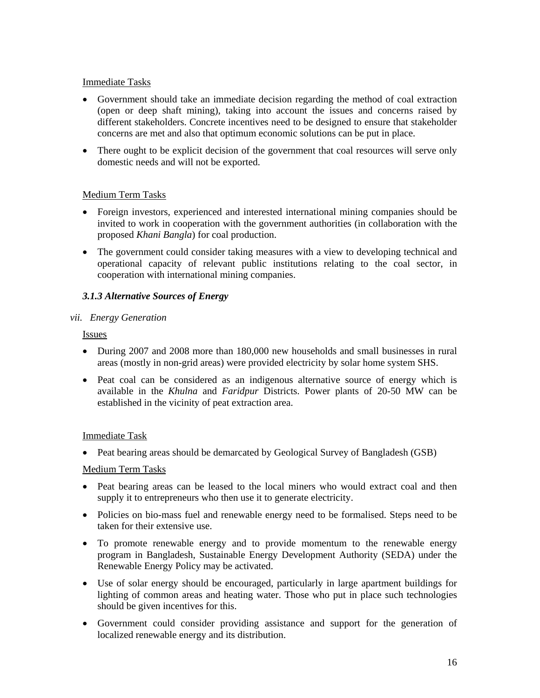### Immediate Tasks

- Government should take an immediate decision regarding the method of coal extraction (open or deep shaft mining), taking into account the issues and concerns raised by different stakeholders. Concrete incentives need to be designed to ensure that stakeholder concerns are met and also that optimum economic solutions can be put in place.
- There ought to be explicit decision of the government that coal resources will serve only domestic needs and will not be exported.

### Medium Term Tasks

- Foreign investors, experienced and interested international mining companies should be invited to work in cooperation with the government authorities (in collaboration with the proposed *Khani Bangla*) for coal production.
- The government could consider taking measures with a view to developing technical and operational capacity of relevant public institutions relating to the coal sector, in cooperation with international mining companies.

# *3.1.3 Alternative Sources of Energy*

### *vii. Energy Generation*

Issues

- During 2007 and 2008 more than 180,000 new households and small businesses in rural areas (mostly in non-grid areas) were provided electricity by solar home system SHS.
- Peat coal can be considered as an indigenous alternative source of energy which is available in the *Khulna* and *Faridpur* Districts. Power plants of 20-50 MW can be established in the vicinity of peat extraction area.

#### Immediate Task

• Peat bearing areas should be demarcated by Geological Survey of Bangladesh (GSB)

#### Medium Term Tasks

- Peat bearing areas can be leased to the local miners who would extract coal and then supply it to entrepreneurs who then use it to generate electricity.
- Policies on bio-mass fuel and renewable energy need to be formalised. Steps need to be taken for their extensive use.
- To promote renewable energy and to provide momentum to the renewable energy program in Bangladesh, Sustainable Energy Development Authority (SEDA) under the Renewable Energy Policy may be activated.
- Use of solar energy should be encouraged, particularly in large apartment buildings for lighting of common areas and heating water. Those who put in place such technologies should be given incentives for this.
- Government could consider providing assistance and support for the generation of localized renewable energy and its distribution.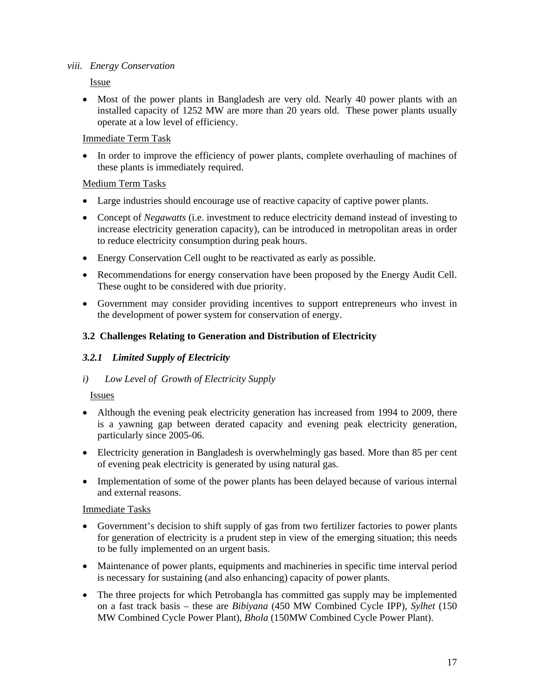### *viii. Energy Conservation*

Issue

• Most of the power plants in Bangladesh are very old. Nearly 40 power plants with an installed capacity of 1252 MW are more than 20 years old. These power plants usually operate at a low level of efficiency.

# Immediate Term Task

• In order to improve the efficiency of power plants, complete overhauling of machines of these plants is immediately required.

# Medium Term Tasks

- Large industries should encourage use of reactive capacity of captive power plants.
- Concept of *Negawatts* (i.e. investment to reduce electricity demand instead of investing to increase electricity generation capacity), can be introduced in metropolitan areas in order to reduce electricity consumption during peak hours.
- Energy Conservation Cell ought to be reactivated as early as possible.
- Recommendations for energy conservation have been proposed by the Energy Audit Cell. These ought to be considered with due priority.
- Government may consider providing incentives to support entrepreneurs who invest in the development of power system for conservation of energy.

# **3.2 Challenges Relating to Generation and Distribution of Electricity**

# *3.2.1 Limited Supply of Electricity*

# *i) Low Level of Growth of Electricity Supply*

# Issues

- Although the evening peak electricity generation has increased from 1994 to 2009, there is a yawning gap between derated capacity and evening peak electricity generation, particularly since 2005-06.
- Electricity generation in Bangladesh is overwhelmingly gas based. More than 85 per cent of evening peak electricity is generated by using natural gas.
- Implementation of some of the power plants has been delayed because of various internal and external reasons.

- Government's decision to shift supply of gas from two fertilizer factories to power plants for generation of electricity is a prudent step in view of the emerging situation; this needs to be fully implemented on an urgent basis.
- Maintenance of power plants, equipments and machineries in specific time interval period is necessary for sustaining (and also enhancing) capacity of power plants.
- The three projects for which Petrobangla has committed gas supply may be implemented on a fast track basis – these are *Bibiyana* (450 MW Combined Cycle IPP), *Sylhet* (150 MW Combined Cycle Power Plant), *Bhola* (150MW Combined Cycle Power Plant).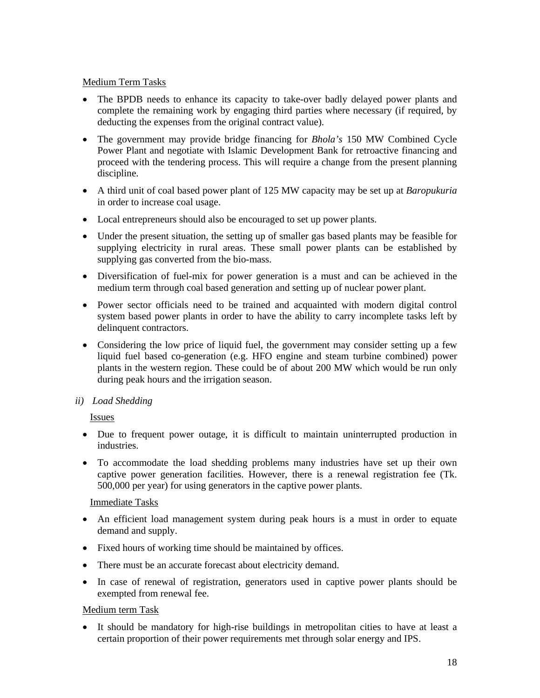### Medium Term Tasks

- The BPDB needs to enhance its capacity to take-over badly delayed power plants and complete the remaining work by engaging third parties where necessary (if required, by deducting the expenses from the original contract value).
- The government may provide bridge financing for *Bhola's* 150 MW Combined Cycle Power Plant and negotiate with Islamic Development Bank for retroactive financing and proceed with the tendering process. This will require a change from the present planning discipline.
- A third unit of coal based power plant of 125 MW capacity may be set up at *Baropukuria* in order to increase coal usage.
- Local entrepreneurs should also be encouraged to set up power plants.
- Under the present situation, the setting up of smaller gas based plants may be feasible for supplying electricity in rural areas. These small power plants can be established by supplying gas converted from the bio-mass.
- Diversification of fuel-mix for power generation is a must and can be achieved in the medium term through coal based generation and setting up of nuclear power plant.
- Power sector officials need to be trained and acquainted with modern digital control system based power plants in order to have the ability to carry incomplete tasks left by delinquent contractors.
- Considering the low price of liquid fuel, the government may consider setting up a few liquid fuel based co-generation (e.g. HFO engine and steam turbine combined) power plants in the western region. These could be of about 200 MW which would be run only during peak hours and the irrigation season.

# *ii) Load Shedding*

# Issues

- Due to frequent power outage, it is difficult to maintain uninterrupted production in industries.
- To accommodate the load shedding problems many industries have set up their own captive power generation facilities. However, there is a renewal registration fee (Tk. 500,000 per year) for using generators in the captive power plants.

#### Immediate Tasks

- An efficient load management system during peak hours is a must in order to equate demand and supply.
- Fixed hours of working time should be maintained by offices.
- There must be an accurate forecast about electricity demand.
- In case of renewal of registration, generators used in captive power plants should be exempted from renewal fee.

#### Medium term Task

• It should be mandatory for high-rise buildings in metropolitan cities to have at least a certain proportion of their power requirements met through solar energy and IPS.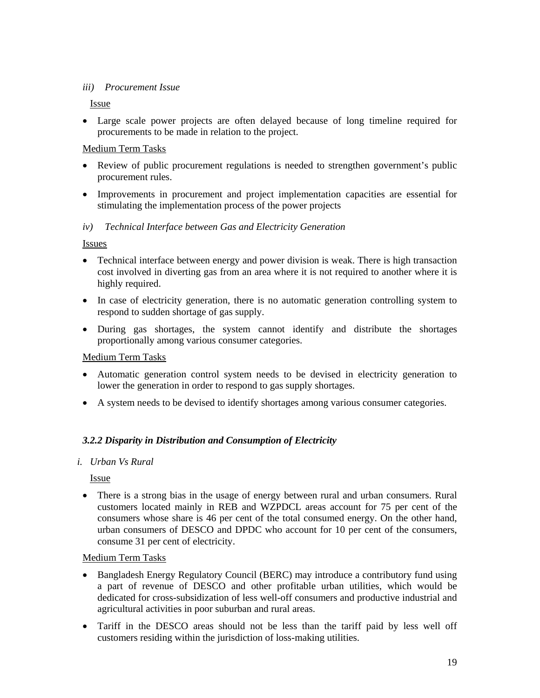### *iii) Procurement Issue*

### Issue

• Large scale power projects are often delayed because of long timeline required for procurements to be made in relation to the project.

# Medium Term Tasks

- Review of public procurement regulations is needed to strengthen government's public procurement rules.
- Improvements in procurement and project implementation capacities are essential for stimulating the implementation process of the power projects

# *iv) Technical Interface between Gas and Electricity Generation*

Issues

- Technical interface between energy and power division is weak. There is high transaction cost involved in diverting gas from an area where it is not required to another where it is highly required.
- In case of electricity generation, there is no automatic generation controlling system to respond to sudden shortage of gas supply.
- During gas shortages, the system cannot identify and distribute the shortages proportionally among various consumer categories.

#### Medium Term Tasks

- Automatic generation control system needs to be devised in electricity generation to lower the generation in order to respond to gas supply shortages.
- A system needs to be devised to identify shortages among various consumer categories.

# *3.2.2 Disparity in Distribution and Consumption of Electricity*

#### *i. Urban Vs Rural*

Issue

• There is a strong bias in the usage of energy between rural and urban consumers. Rural customers located mainly in REB and WZPDCL areas account for 75 per cent of the consumers whose share is 46 per cent of the total consumed energy. On the other hand, urban consumers of DESCO and DPDC who account for 10 per cent of the consumers, consume 31 per cent of electricity.

#### Medium Term Tasks

- Bangladesh Energy Regulatory Council (BERC) may introduce a contributory fund using a part of revenue of DESCO and other profitable urban utilities, which would be dedicated for cross-subsidization of less well-off consumers and productive industrial and agricultural activities in poor suburban and rural areas.
- Tariff in the DESCO areas should not be less than the tariff paid by less well off customers residing within the jurisdiction of loss-making utilities.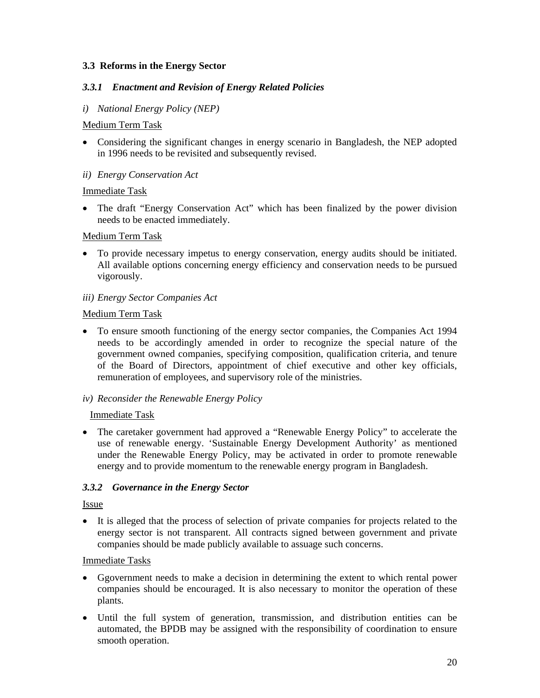# **3.3 Reforms in the Energy Sector**

### *3.3.1 Enactment and Revision of Energy Related Policies*

### *i) National Energy Policy (NEP)*

#### Medium Term Task

• Considering the significant changes in energy scenario in Bangladesh, the NEP adopted in 1996 needs to be revisited and subsequently revised.

#### *ii) Energy Conservation Act*

### Immediate Task

• The draft "Energy Conservation Act" which has been finalized by the power division needs to be enacted immediately.

#### Medium Term Task

• To provide necessary impetus to energy conservation, energy audits should be initiated. All available options concerning energy efficiency and conservation needs to be pursued vigorously.

#### *iii) Energy Sector Companies Act*

#### Medium Term Task

- To ensure smooth functioning of the energy sector companies, the Companies Act 1994 needs to be accordingly amended in order to recognize the special nature of the government owned companies, specifying composition, qualification criteria, and tenure of the Board of Directors, appointment of chief executive and other key officials, remuneration of employees, and supervisory role of the ministries.
- *iv) Reconsider the Renewable Energy Policy*

#### Immediate Task

• The caretaker government had approved a "Renewable Energy Policy" to accelerate the use of renewable energy. 'Sustainable Energy Development Authority' as mentioned under the Renewable Energy Policy, may be activated in order to promote renewable energy and to provide momentum to the renewable energy program in Bangladesh.

#### *3.3.2 Governance in the Energy Sector*

#### Issue

• It is alleged that the process of selection of private companies for projects related to the energy sector is not transparent. All contracts signed between government and private companies should be made publicly available to assuage such concerns.

- Ggovernment needs to make a decision in determining the extent to which rental power companies should be encouraged. It is also necessary to monitor the operation of these plants.
- Until the full system of generation, transmission, and distribution entities can be automated, the BPDB may be assigned with the responsibility of coordination to ensure smooth operation.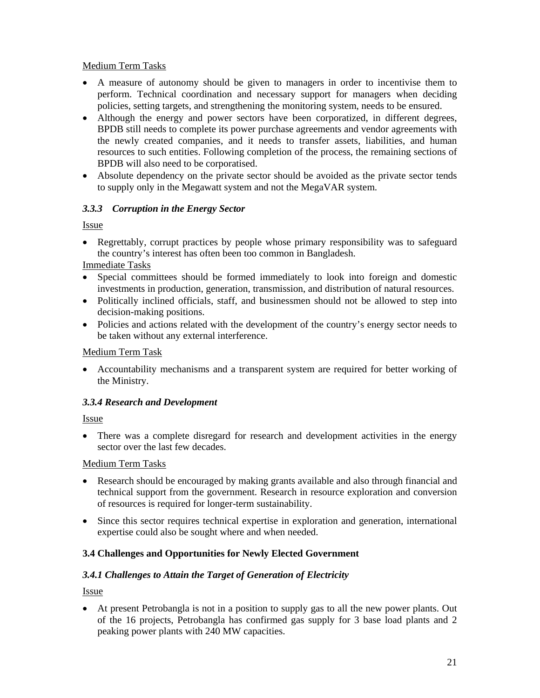# Medium Term Tasks

- A measure of autonomy should be given to managers in order to incentivise them to perform. Technical coordination and necessary support for managers when deciding policies, setting targets, and strengthening the monitoring system, needs to be ensured.
- Although the energy and power sectors have been corporatized, in different degrees, BPDB still needs to complete its power purchase agreements and vendor agreements with the newly created companies, and it needs to transfer assets, liabilities, and human resources to such entities. Following completion of the process, the remaining sections of BPDB will also need to be corporatised.
- Absolute dependency on the private sector should be avoided as the private sector tends to supply only in the Megawatt system and not the MegaVAR system.

# *3.3.3 Corruption in the Energy Sector*

Issue

• Regrettably, corrupt practices by people whose primary responsibility was to safeguard the country's interest has often been too common in Bangladesh.

Immediate Tasks

- Special committees should be formed immediately to look into foreign and domestic investments in production, generation, transmission, and distribution of natural resources.
- Politically inclined officials, staff, and businessmen should not be allowed to step into decision-making positions.
- Policies and actions related with the development of the country's energy sector needs to be taken without any external interference.

### Medium Term Task

• Accountability mechanisms and a transparent system are required for better working of the Ministry.

# *3.3.4 Research and Development*

Issue

• There was a complete disregard for research and development activities in the energy sector over the last few decades.

# Medium Term Tasks

- Research should be encouraged by making grants available and also through financial and technical support from the government. Research in resource exploration and conversion of resources is required for longer-term sustainability.
- Since this sector requires technical expertise in exploration and generation, international expertise could also be sought where and when needed.

# **3.4 Challenges and Opportunities for Newly Elected Government**

# *3.4.1 Challenges to Attain the Target of Generation of Electricity*

Issue

• At present Petrobangla is not in a position to supply gas to all the new power plants. Out of the 16 projects, Petrobangla has confirmed gas supply for 3 base load plants and 2 peaking power plants with 240 MW capacities.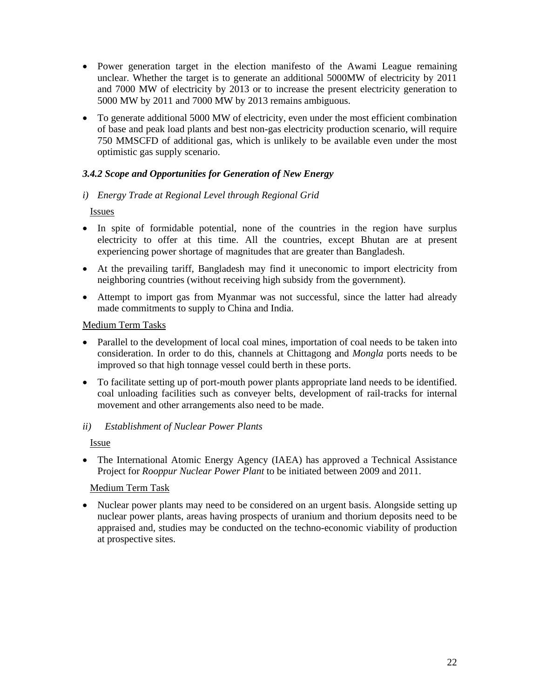- Power generation target in the election manifesto of the Awami League remaining unclear. Whether the target is to generate an additional 5000MW of electricity by 2011 and 7000 MW of electricity by 2013 or to increase the present electricity generation to 5000 MW by 2011 and 7000 MW by 2013 remains ambiguous.
- To generate additional 5000 MW of electricity, even under the most efficient combination of base and peak load plants and best non-gas electricity production scenario, will require 750 MMSCFD of additional gas, which is unlikely to be available even under the most optimistic gas supply scenario.

# *3.4.2 Scope and Opportunities for Generation of New Energy*

# *i) Energy Trade at Regional Level through Regional Grid*

Issues

- In spite of formidable potential, none of the countries in the region have surplus electricity to offer at this time. All the countries, except Bhutan are at present experiencing power shortage of magnitudes that are greater than Bangladesh.
- At the prevailing tariff, Bangladesh may find it uneconomic to import electricity from neighboring countries (without receiving high subsidy from the government).
- Attempt to import gas from Myanmar was not successful, since the latter had already made commitments to supply to China and India.

### Medium Term Tasks

- Parallel to the development of local coal mines, importation of coal needs to be taken into consideration. In order to do this, channels at Chittagong and *Mongla* ports needs to be improved so that high tonnage vessel could berth in these ports.
- To facilitate setting up of port-mouth power plants appropriate land needs to be identified. coal unloading facilities such as conveyer belts, development of rail-tracks for internal movement and other arrangements also need to be made.

# *ii) Establishment of Nuclear Power Plants*

Issue

• The International Atomic Energy Agency (IAEA) has approved a Technical Assistance Project for *Rooppur Nuclear Power Plant* to be initiated between 2009 and 2011.

# Medium Term Task

• Nuclear power plants may need to be considered on an urgent basis. Alongside setting up nuclear power plants, areas having prospects of uranium and thorium deposits need to be appraised and, studies may be conducted on the techno-economic viability of production at prospective sites.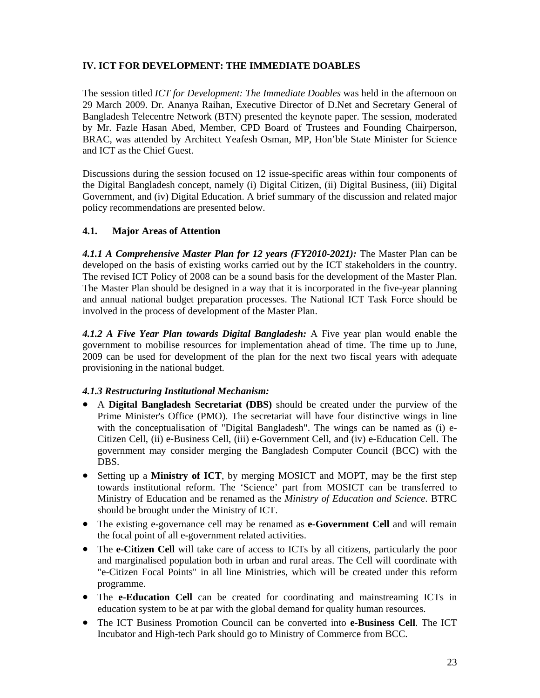# **IV. ICT FOR DEVELOPMENT: THE IMMEDIATE DOABLES**

The session titled *ICT for Development: The Immediate Doables* was held in the afternoon on 29 March 2009. Dr. Ananya Raihan, Executive Director of D.Net and Secretary General of Bangladesh Telecentre Network (BTN) presented the keynote paper. The session, moderated by Mr. Fazle Hasan Abed, Member, CPD Board of Trustees and Founding Chairperson, BRAC, was attended by Architect Yeafesh Osman, MP, Hon'ble State Minister for Science and ICT as the Chief Guest.

Discussions during the session focused on 12 issue-specific areas within four components of the Digital Bangladesh concept, namely (i) Digital Citizen, (ii) Digital Business, (iii) Digital Government, and (iv) Digital Education. A brief summary of the discussion and related major policy recommendations are presented below.

# **4.1. Major Areas of Attention**

*4.1.1 A Comprehensive Master Plan for 12 years (FY2010-2021):* The Master Plan can be developed on the basis of existing works carried out by the ICT stakeholders in the country. The revised ICT Policy of 2008 can be a sound basis for the development of the Master Plan. The Master Plan should be designed in a way that it is incorporated in the five-year planning and annual national budget preparation processes. The National ICT Task Force should be involved in the process of development of the Master Plan.

*4.1.2 A Five Year Plan towards Digital Bangladesh:* A Five year plan would enable the government to mobilise resources for implementation ahead of time. The time up to June, 2009 can be used for development of the plan for the next two fiscal years with adequate provisioning in the national budget.

#### *4.1.3 Restructuring Institutional Mechanism:*

- A **Digital Bangladesh Secretariat (DBS)** should be created under the purview of the Prime Minister's Office (PMO). The secretariat will have four distinctive wings in line with the conceptualisation of "Digital Bangladesh". The wings can be named as (i) e-Citizen Cell, (ii) e-Business Cell, (iii) e-Government Cell, and (iv) e-Education Cell. The government may consider merging the Bangladesh Computer Council (BCC) with the DBS.
- Setting up a **Ministry of ICT**, by merging MOSICT and MOPT, may be the first step towards institutional reform. The 'Science' part from MOSICT can be transferred to Ministry of Education and be renamed as the *Ministry of Education and Science*. BTRC should be brought under the Ministry of ICT.
- The existing e-governance cell may be renamed as **e-Government Cell** and will remain the focal point of all e-government related activities.
- The **e-Citizen Cell** will take care of access to ICTs by all citizens, particularly the poor and marginalised population both in urban and rural areas. The Cell will coordinate with "e-Citizen Focal Points" in all line Ministries, which will be created under this reform programme.
- The **e-Education Cell** can be created for coordinating and mainstreaming ICTs in education system to be at par with the global demand for quality human resources.
- The ICT Business Promotion Council can be converted into **e-Business Cell**. The ICT Incubator and High-tech Park should go to Ministry of Commerce from BCC.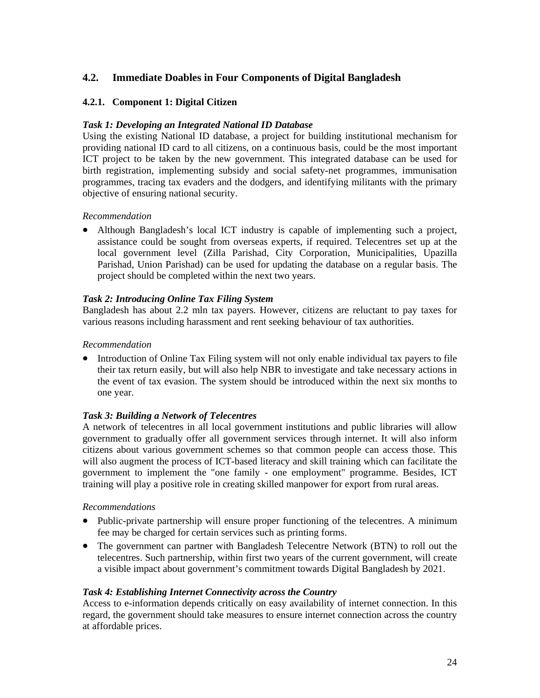# **4.2. Immediate Doables in Four Components of Digital Bangladesh**

### **4.2.1. Component 1: Digital Citizen**

#### *Task 1: Developing an Integrated National ID Database*

Using the existing National ID database, a project for building institutional mechanism for providing national ID card to all citizens, on a continuous basis, could be the most important ICT project to be taken by the new government. This integrated database can be used for birth registration, implementing subsidy and social safety-net programmes, immunisation programmes, tracing tax evaders and the dodgers, and identifying militants with the primary objective of ensuring national security.

#### *Recommendation*

• Although Bangladesh's local ICT industry is capable of implementing such a project, assistance could be sought from overseas experts, if required. Telecentres set up at the local government level (Zilla Parishad, City Corporation, Municipalities, Upazilla Parishad, Union Parishad) can be used for updating the database on a regular basis. The project should be completed within the next two years.

#### *Task 2: Introducing Online Tax Filing System*

Bangladesh has about 2.2 mln tax payers. However, citizens are reluctant to pay taxes for various reasons including harassment and rent seeking behaviour of tax authorities.

#### *Recommendation*

• Introduction of Online Tax Filing system will not only enable individual tax payers to file their tax return easily, but will also help NBR to investigate and take necessary actions in the event of tax evasion. The system should be introduced within the next six months to one year.

#### *Task 3: Building a Network of Telecentres*

A network of telecentres in all local government institutions and public libraries will allow government to gradually offer all government services through internet. It will also inform citizens about various government schemes so that common people can access those. This will also augment the process of ICT-based literacy and skill training which can facilitate the government to implement the "one family - one employment" programme. Besides, ICT training will play a positive role in creating skilled manpower for export from rural areas.

#### *Recommendations*

- Public-private partnership will ensure proper functioning of the telecentres. A minimum fee may be charged for certain services such as printing forms.
- The government can partner with Bangladesh Telecentre Network (BTN) to roll out the telecentres. Such partnership, within first two years of the current government, will create a visible impact about government's commitment towards Digital Bangladesh by 2021.

#### *Task 4: Establishing Internet Connectivity across the Country*

Access to e-information depends critically on easy availability of internet connection. In this regard, the government should take measures to ensure internet connection across the country at affordable prices.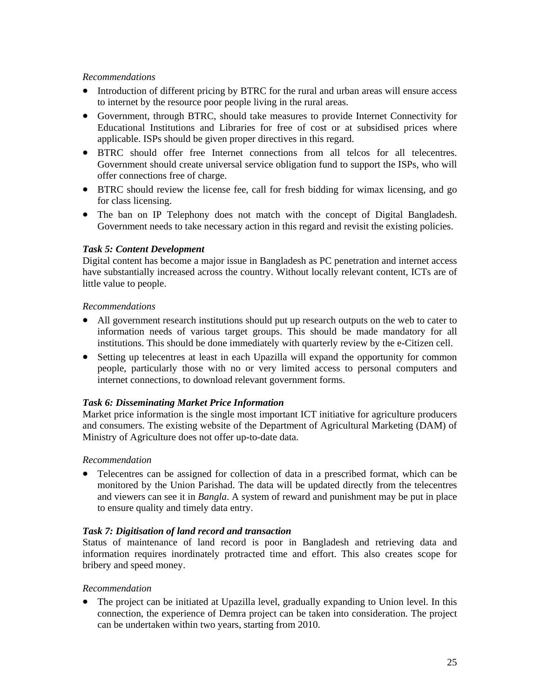### *Recommendations*

- Introduction of different pricing by BTRC for the rural and urban areas will ensure access to internet by the resource poor people living in the rural areas.
- Government, through BTRC, should take measures to provide Internet Connectivity for Educational Institutions and Libraries for free of cost or at subsidised prices where applicable. ISPs should be given proper directives in this regard.
- BTRC should offer free Internet connections from all telcos for all telecentres. Government should create universal service obligation fund to support the ISPs, who will offer connections free of charge.
- BTRC should review the license fee, call for fresh bidding for wimax licensing, and go for class licensing.
- The ban on IP Telephony does not match with the concept of Digital Bangladesh. Government needs to take necessary action in this regard and revisit the existing policies.

### *Task 5: Content Development*

Digital content has become a major issue in Bangladesh as PC penetration and internet access have substantially increased across the country. Without locally relevant content, ICTs are of little value to people.

### *Recommendations*

- All government research institutions should put up research outputs on the web to cater to information needs of various target groups. This should be made mandatory for all institutions. This should be done immediately with quarterly review by the e-Citizen cell.
- Setting up telecentres at least in each Upazilla will expand the opportunity for common people, particularly those with no or very limited access to personal computers and internet connections, to download relevant government forms.

# *Task 6: Disseminating Market Price Information*

Market price information is the single most important ICT initiative for agriculture producers and consumers. The existing website of the Department of Agricultural Marketing (DAM) of Ministry of Agriculture does not offer up-to-date data.

# *Recommendation*

• Telecentres can be assigned for collection of data in a prescribed format, which can be monitored by the Union Parishad. The data will be updated directly from the telecentres and viewers can see it in *Bangla*. A system of reward and punishment may be put in place to ensure quality and timely data entry.

# *Task 7: Digitisation of land record and transaction*

Status of maintenance of land record is poor in Bangladesh and retrieving data and information requires inordinately protracted time and effort. This also creates scope for bribery and speed money.

#### *Recommendation*

• The project can be initiated at Upazilla level, gradually expanding to Union level. In this connection, the experience of Demra project can be taken into consideration. The project can be undertaken within two years, starting from 2010.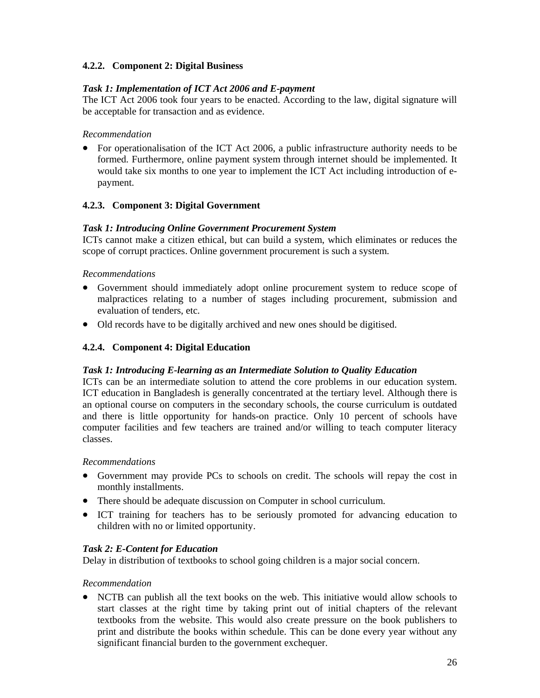# **4.2.2. Component 2: Digital Business**

### *Task 1: Implementation of ICT Act 2006 and E-payment*

The ICT Act 2006 took four years to be enacted. According to the law, digital signature will be acceptable for transaction and as evidence.

### *Recommendation*

• For operationalisation of the ICT Act 2006, a public infrastructure authority needs to be formed. Furthermore, online payment system through internet should be implemented. It would take six months to one year to implement the ICT Act including introduction of epayment.

# **4.2.3. Component 3: Digital Government**

# *Task 1: Introducing Online Government Procurement System*

ICTs cannot make a citizen ethical, but can build a system, which eliminates or reduces the scope of corrupt practices. Online government procurement is such a system.

### *Recommendations*

- Government should immediately adopt online procurement system to reduce scope of malpractices relating to a number of stages including procurement, submission and evaluation of tenders, etc.
- Old records have to be digitally archived and new ones should be digitised.

### **4.2.4. Component 4: Digital Education**

#### *Task 1: Introducing E-learning as an Intermediate Solution to Quality Education*

ICTs can be an intermediate solution to attend the core problems in our education system. ICT education in Bangladesh is generally concentrated at the tertiary level. Although there is an optional course on computers in the secondary schools, the course curriculum is outdated and there is little opportunity for hands-on practice. Only 10 percent of schools have computer facilities and few teachers are trained and/or willing to teach computer literacy classes.

#### *Recommendations*

- Government may provide PCs to schools on credit. The schools will repay the cost in monthly installments.
- There should be adequate discussion on Computer in school curriculum.
- ICT training for teachers has to be seriously promoted for advancing education to children with no or limited opportunity.

# *Task 2: E-Content for Education*

Delay in distribution of textbooks to school going children is a major social concern.

#### *Recommendation*

• NCTB can publish all the text books on the web. This initiative would allow schools to start classes at the right time by taking print out of initial chapters of the relevant textbooks from the website. This would also create pressure on the book publishers to print and distribute the books within schedule. This can be done every year without any significant financial burden to the government exchequer.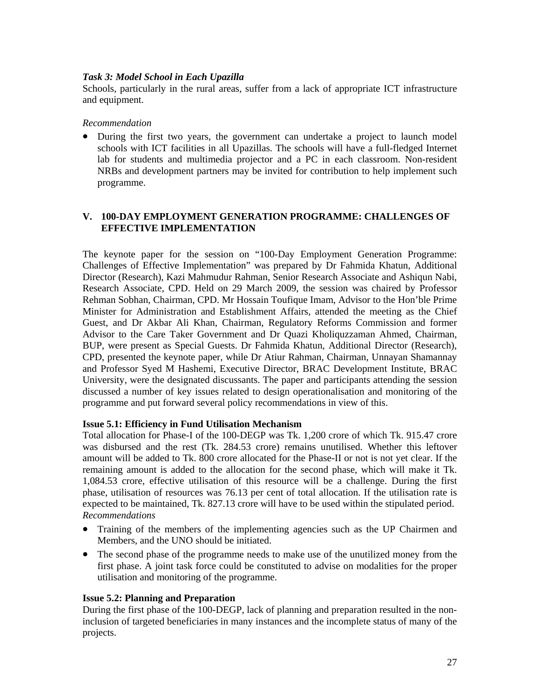# *Task 3: Model School in Each Upazilla*

Schools, particularly in the rural areas, suffer from a lack of appropriate ICT infrastructure and equipment.

#### *Recommendation*

• During the first two years, the government can undertake a project to launch model schools with ICT facilities in all Upazillas. The schools will have a full-fledged Internet lab for students and multimedia projector and a PC in each classroom. Non-resident NRBs and development partners may be invited for contribution to help implement such programme.

### **V. 100-DAY EMPLOYMENT GENERATION PROGRAMME: CHALLENGES OF EFFECTIVE IMPLEMENTATION**

The keynote paper for the session on "100-Day Employment Generation Programme: Challenges of Effective Implementation" was prepared by Dr Fahmida Khatun, Additional Director (Research), Kazi Mahmudur Rahman, Senior Research Associate and Ashiqun Nabi, Research Associate, CPD. Held on 29 March 2009, the session was chaired by Professor Rehman Sobhan, Chairman, CPD. Mr Hossain Toufique Imam, Advisor to the Hon'ble Prime Minister for Administration and Establishment Affairs, attended the meeting as the Chief Guest, and Dr Akbar Ali Khan, Chairman, Regulatory Reforms Commission and former Advisor to the Care Taker Government and Dr Quazi Kholiquzzaman Ahmed, Chairman, BUP, were present as Special Guests. Dr Fahmida Khatun, Additional Director (Research), CPD, presented the keynote paper, while Dr Atiur Rahman, Chairman, Unnayan Shamannay and Professor Syed M Hashemi, Executive Director, BRAC Development Institute, BRAC University, were the designated discussants. The paper and participants attending the session discussed a number of key issues related to design operationalisation and monitoring of the programme and put forward several policy recommendations in view of this.

#### **Issue 5.1: Efficiency in Fund Utilisation Mechanism**

Total allocation for Phase-I of the 100-DEGP was Tk. 1,200 crore of which Tk. 915.47 crore was disbursed and the rest (Tk. 284.53 crore) remains unutilised. Whether this leftover amount will be added to Tk. 800 crore allocated for the Phase-II or not is not yet clear. If the remaining amount is added to the allocation for the second phase, which will make it Tk. 1,084.53 crore, effective utilisation of this resource will be a challenge. During the first phase, utilisation of resources was 76.13 per cent of total allocation. If the utilisation rate is expected to be maintained, Tk. 827.13 crore will have to be used within the stipulated period. *Recommendations* 

- Training of the members of the implementing agencies such as the UP Chairmen and Members, and the UNO should be initiated.
- The second phase of the programme needs to make use of the unutilized money from the first phase. A joint task force could be constituted to advise on modalities for the proper utilisation and monitoring of the programme.

#### **Issue 5.2: Planning and Preparation**

During the first phase of the 100-DEGP, lack of planning and preparation resulted in the noninclusion of targeted beneficiaries in many instances and the incomplete status of many of the projects.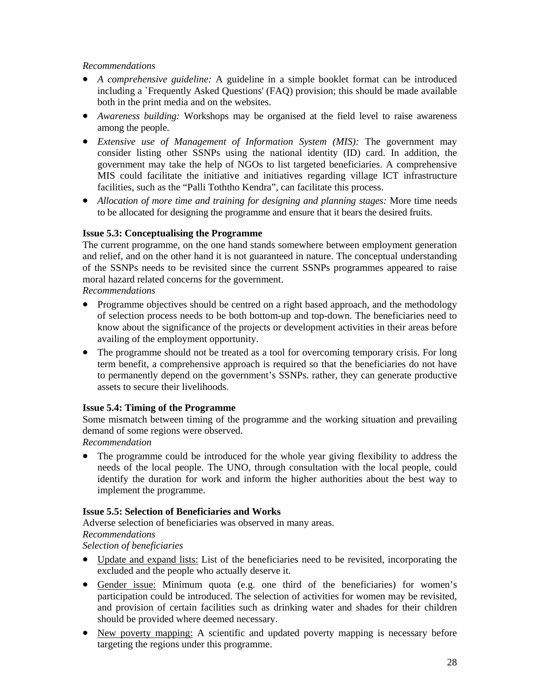# *Recommendations*

- *A comprehensive guideline:* A guideline in a simple booklet format can be introduced including a `Frequently Asked Questions' (FAQ) provision; this should be made available both in the print media and on the websites.
- *Awareness building:* Workshops may be organised at the field level to raise awareness among the people.
- *Extensive use of Management of Information System (MIS):* The government may consider listing other SSNPs using the national identity (ID) card. In addition, the government may take the help of NGOs to list targeted beneficiaries. A comprehensive MIS could facilitate the initiative and initiatives regarding village ICT infrastructure facilities, such as the "Palli Toththo Kendra", can facilitate this process.
- *Allocation of more time and training for designing and planning stages:* More time needs to be allocated for designing the programme and ensure that it bears the desired fruits.

### **Issue 5.3: Conceptualising the Programme**

The current programme, on the one hand stands somewhere between employment generation and relief, and on the other hand it is not guaranteed in nature. The conceptual understanding of the SSNPs needs to be revisited since the current SSNPs programmes appeared to raise moral hazard related concerns for the government.

*Recommendations* 

- Programme objectives should be centred on a right based approach, and the methodology of selection process needs to be both bottom-up and top-down. The beneficiaries need to know about the significance of the projects or development activities in their areas before availing of the employment opportunity.
- The programme should not be treated as a tool for overcoming temporary crisis. For long term benefit, a comprehensive approach is required so that the beneficiaries do not have to permanently depend on the government's SSNPs. rather, they can generate productive assets to secure their livelihoods.

# **Issue 5.4: Timing of the Programme**

Some mismatch between timing of the programme and the working situation and prevailing demand of some regions were observed.

*Recommendation* 

• The programme could be introduced for the whole year giving flexibility to address the needs of the local people. The UNO, through consultation with the local people, could identify the duration for work and inform the higher authorities about the best way to implement the programme.

# **Issue 5.5: Selection of Beneficiaries and Works**

Adverse selection of beneficiaries was observed in many areas. *Recommendations* 

*Selection of beneficiaries* 

- Update and expand lists: List of the beneficiaries need to be revisited, incorporating the excluded and the people who actually deserve it.
- Gender issue: Minimum quota (e.g. one third of the beneficiaries) for women's participation could be introduced. The selection of activities for women may be revisited, and provision of certain facilities such as drinking water and shades for their children should be provided where deemed necessary.
- New poverty mapping: A scientific and updated poverty mapping is necessary before targeting the regions under this programme.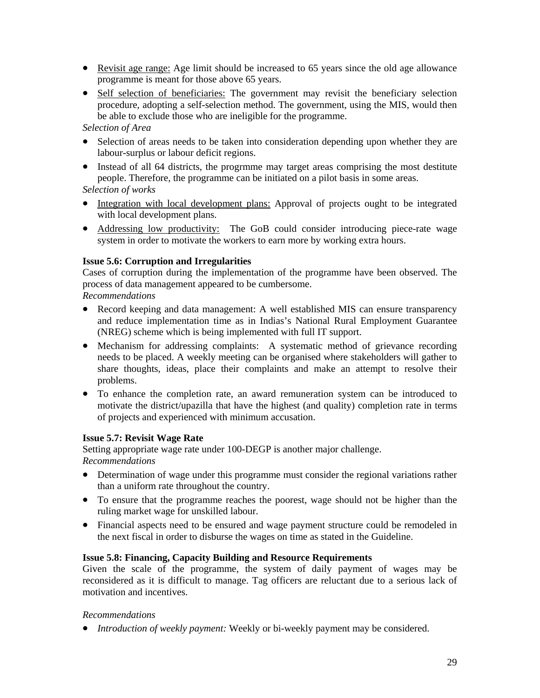- Revisit age range: Age limit should be increased to 65 years since the old age allowance programme is meant for those above 65 years.
- Self selection of beneficiaries: The government may revisit the beneficiary selection procedure, adopting a self-selection method. The government, using the MIS, would then be able to exclude those who are ineligible for the programme.

# *Selection of Area*

- Selection of areas needs to be taken into consideration depending upon whether they are labour-surplus or labour deficit regions.
- Instead of all 64 districts, the programe may target areas comprising the most destitute people. Therefore, the programme can be initiated on a pilot basis in some areas.

### *Selection of works*

- Integration with local development plans: Approval of projects ought to be integrated with local development plans.
- Addressing low productivity: The GoB could consider introducing piece-rate wage system in order to motivate the workers to earn more by working extra hours.

### **Issue 5.6: Corruption and Irregularities**

Cases of corruption during the implementation of the programme have been observed. The process of data management appeared to be cumbersome.

#### *Recommendations*

- Record keeping and data management: A well established MIS can ensure transparency and reduce implementation time as in Indias's National Rural Employment Guarantee (NREG) scheme which is being implemented with full IT support.
- Mechanism for addressing complaints: A systematic method of grievance recording needs to be placed. A weekly meeting can be organised where stakeholders will gather to share thoughts, ideas, place their complaints and make an attempt to resolve their problems.
- To enhance the completion rate, an award remuneration system can be introduced to motivate the district/upazilla that have the highest (and quality) completion rate in terms of projects and experienced with minimum accusation.

# **Issue 5.7: Revisit Wage Rate**

Setting appropriate wage rate under 100-DEGP is another major challenge. *Recommendations* 

- Determination of wage under this programme must consider the regional variations rather than a uniform rate throughout the country.
- To ensure that the programme reaches the poorest, wage should not be higher than the ruling market wage for unskilled labour.
- Financial aspects need to be ensured and wage payment structure could be remodeled in the next fiscal in order to disburse the wages on time as stated in the Guideline.

#### **Issue 5.8: Financing, Capacity Building and Resource Requirements**

Given the scale of the programme, the system of daily payment of wages may be reconsidered as it is difficult to manage. Tag officers are reluctant due to a serious lack of motivation and incentives.

#### *Recommendations*

• *Introduction of weekly payment:* Weekly or bi-weekly payment may be considered.